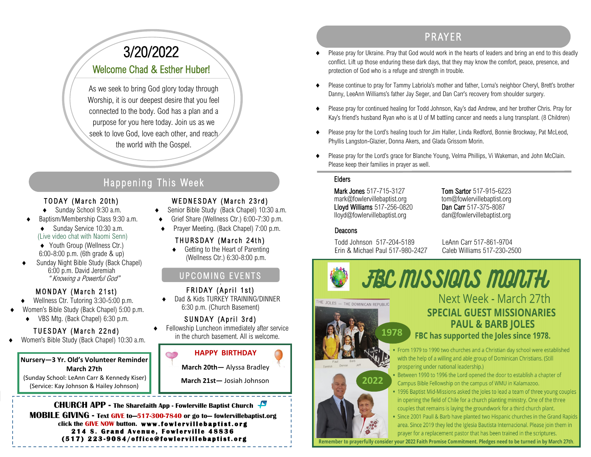# PR AYER

- Please pray for Ukraine. Pray that God would work in the hearts of leaders and bring an end to this deadly conflict. Lift up those enduring these dark days, that they may know the comfort, peace, presence, and protection of God who is a refuge and strength in trouble.
- Please continue to pray for Tammy Labriola's mother and father, Lorna's neighbor Cheryl, Brett's brother Danny, LeeAnn Williams's father Jay Seger, and Dan Carr's recovery from shoulder surgery.
- Please pray for continued healing for Todd Johnson, Kay's dad Andrew, and her brother Chris. Pray for Kay's friend's husband Ryan who is at U of M battling cancer and needs a lung transplant. (8 Children)
- Please pray for the Lord's healing touch for Jim Haller, Linda Redford, Bonnie Brockway, Pat McLeod, Phyllis Langston-Glazier, Donna Akers, and Glada Grissom Morin.
- Please pray for the Lord's grace for Blanche Young, Velma Phillips, Vi Wakeman, and John McClain. Please keep their families in prayer as well.

#### Elders

Mark Jones 517-715-3127 Tom Sartor 517-915-6223 mark@fowlervillebaptist.org tom@fowlervillebaptist.org Lloyd Williams 517-256-0820 Dan Carr 517-375-8087 lloyd@fowlervillebaptist.org dan@fowlervillebaptist.org

#### **Deacons**

HE JOLES - THE DOMINICAN REPUBLIC

Todd Johnson 517-204-5189 LeAnn Carr 517-861-9704 Erin & Michael Paul 517-980-2427

**1978**

**2022**

**FBC MISSIONS MONTH** 

# 3/20/2022 Welcome Chad & Esther Huber!

As we seek to bring God glory today through Worship, it is our deepest desire that you feel connected to the body. God has a plan and a purpose for you here today. Join us as we seek to love God, love each other, and reach the world with the Gospel.

# Happening This Week

#### TODAY (March 20th)

- ◆ Sunday School 9:30 a.m.
- Baptism/Membership Class 9:30 a.m.
	- ◆ Sunday Service 10:30 a.m. (Live video chat with Naomi Senn)
	- ◆ Youth Group (Wellness Ctr.) 6:00-8:00 p.m. (6th grade & up)
- Sunday Night Bible Study (Back Chapel) 6:00 p.m. David Jeremiah " Knowing a Powerful God"

### MONDAY (March 21st)

- ◆ Wellness Ctr. Tutoring 3:30-5:00 p.m.
- Women's Bible Study (Back Chapel) 5:00 p.m.
	- VBS Mtg. (Back Chapel) 6:30 p.m.

## TUESDAY (March 22nd)

Women's Bible Study (Back Chapel) 10:30 a.m.

#### **Nursery—3 Yr. Old's Volunteer Reminder March 27th** (Sunday School: LeAnn Carr & Kennedy Kiser) (Service: Kay Johnson & Hailey Johnson)

# WEDNESDAY (March 23rd)

- ◆ Senior Bible Study (Back Chapel) 10:30 a.m.
- Grief Share (Wellness Ctr.) 6:00-7:30 p.m.
- Prayer Meeting. (Back Chapel) 7:00 p.m.

## THURSDAY (March 24th)

◆ Getting to the Heart of Parenting (Wellness Ctr.) 6:30-8:00 p.m.

#### UPCOMING EVENTS .

### FRIDAY (April 1st)

 Dad & Kids TURKEY TRAINING/DINNER 6:30 p.m. (Church Basement)

## SUNDAY (April 3rd)

 Fellowship Luncheon immediately after service in the church basement. All is welcome.



**CHURCH APP - The Sharefaith App - Fowlerville Baptist Church MOBILE GIVING - Text GIVE to—517-300-7840 or go to— fowlervillebaptist.org** click the GIVE NOW button. www.fowlervillebaptist.org **214 S. Grand Avenue, Fowlerville 48836 ( 5 1 7 ) 2 2 3 - 9 0 8 4 / o f f i c e @ f o w l e r v i l l e b a p t i s t . o r g** 

## Next Week - March 27th **SPECIAL GUEST MISSIONARIES PAUL & BARB JOLES** FBC has supported the Joles since 1978.

• From 1979 to 1990 two churches and a Christian day school were established with the help of a willing and able group of Dominican Christians. (Still prospering under national leadership.)

Between 1990 to 1996 the Lord opened the door to establish a chapter of Campus Bible Fellowship on the campus of WMU in Kalamazoo.

• 1996 Baptist Mid-Missions asked the Joles to lead a team of three young couples in opening the field of Chile for a church planting ministry. One of the three couples that remains is laying the groundwork for a third church plant.

• Since 2001 Paull & Barb have planted two Hispanic churches in the Grand Rapids area. Since 2019 they led the Iglesia Bautista Internacional. Please join them in prayer for a replacement pastor that has been trained in the scriptures.

Remember to prayerfully consider your 2022 Faith Promise Commitment. Pledges need to be turned in by March 27th.